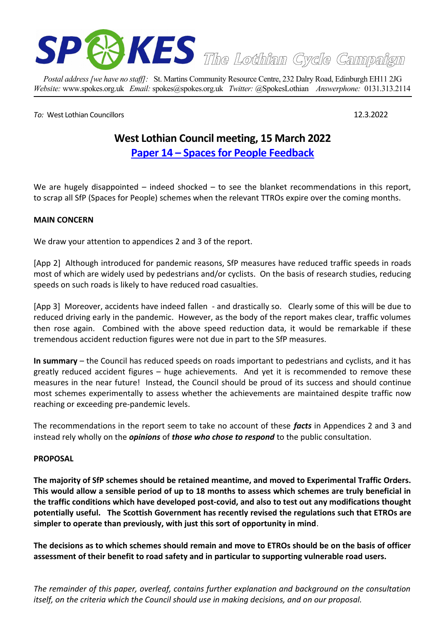

*Postal address [we have no staff]:* St. Martins Community Resource Centre, 232 Dalry Road, Edinburgh EH11 2JG *Website:* www.spokes.org.uk *Email:* spokes@spokes.org.uk *Twitter:* @SpokesLothian *Answerphone:* 0131.313.2114

*[To](mailto:davedufeu@gmail.com):* West Lothian Councillors 12.3.2022

# **West Lothian Council meeting, 15 March 2022 [Paper 14 – Spaces for People Feedback](https://coins.westlothian.gov.uk/coins/viewDoc.asp?c=e%97%9Di%93rz%8C)**

We are hugely disappointed  $-$  indeed shocked  $-$  to see the blanket recommendations in this report, to scrap all SfP (Spaces for People) schemes when the relevant TTROs expire over the coming months.

## **MAIN CONCERN**

We draw your attention to appendices 2 and 3 of the report.

[App 2] Although introduced for pandemic reasons, SfP measures have reduced traffic speeds in roads most of which are widely used by pedestrians and/or cyclists. On the basis of research studies, reducing speeds on such roads is likely to have reduced road casualties.

[App 3] Moreover, accidents have indeed fallen - and drastically so. Clearly some of this will be due to reduced driving early in the pandemic. However, as the body of the report makes clear, traffic volumes then rose again. Combined with the above speed reduction data, it would be remarkable if these tremendous accident reduction figures were not due in part to the SfP measures.

**In summary** – the Council has reduced speeds on roads important to pedestrians and cyclists, and it has greatly reduced accident figures – huge achievements. And yet it is recommended to remove these measures in the near future! Instead, the Council should be proud of its success and should continue most schemes experimentally to assess whether the achievements are maintained despite traffic now reaching or exceeding pre-pandemic levels.

The recommendations in the report seem to take no account of these *facts* in Appendices 2 and 3 and instead rely wholly on the *opinions* of *those who chose to respond* to the public consultation.

#### **PROPOSAL**

**The majority of SfP schemes should be retained meantime, and moved to Experimental Traffic Orders. This would allow a sensible period of up to 18 months to assess which schemes are truly beneficial in the traffic conditions which have developed post-covid, and also to test out any modifications thought potentially useful. The Scottish Government has recently revised the regulations such that ETROs are simpler to operate than previously, with just this sort of opportunity in mind**.

**The decisions as to which schemes should remain and move to ETROs should be on the basis of officer assessment of their benefit to road safety and in particular to supporting vulnerable road users.**

*The remainder of this paper, overleaf, contains further explanation and background on the consultation itself, on the criteria which the Council should use in making decisions, and on our proposal.*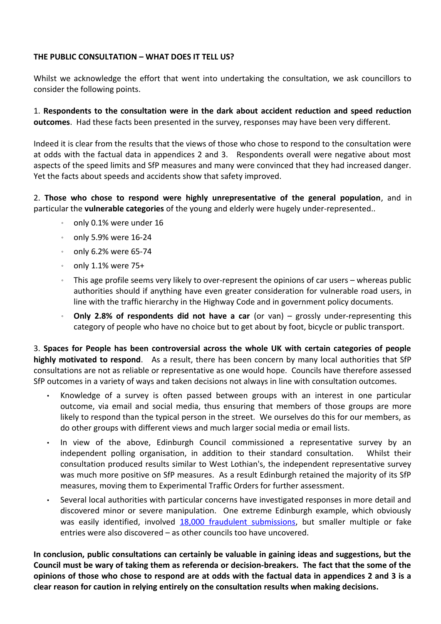## **THE PUBLIC CONSULTATION – WHAT DOES IT TELL US?**

Whilst we acknowledge the effort that went into undertaking the consultation, we ask councillors to consider the following points.

1. **Respondents to the consultation were in the dark about accident reduction and speed reduction outcomes**. Had these facts been presented in the survey, responses may have been very different.

Indeed it is clear from the results that the views of those who chose to respond to the consultation were at odds with the factual data in appendices 2 and 3. Respondents overall were negative about most aspects of the speed limits and SfP measures and many were convinced that they had increased danger. Yet the facts about speeds and accidents show that safety improved.

2. **Those who chose to respond were highly unrepresentative of the general population**, and in particular the **vulnerable categories** of the young and elderly were hugely under-represented..

- only 0.1% were under 16
- only 5.9% were 16-24
- only 6.2% were 65-74
- only 1.1% were 75+
- This age profile seems very likely to over-represent the opinions of car users whereas public authorities should if anything have even greater consideration for vulnerable road users, in line with the traffic hierarchy in the Highway Code and in government policy documents.
- **Only 2.8% of respondents did not have a car** (or van) grossly under-representing this category of people who have no choice but to get about by foot, bicycle or public transport.

3. **Spaces for People has been controversial across the whole UK with certain categories of people highly motivated to respond**. As a result, there has been concern by many local authorities that SfP consultations are not as reliable or representative as one would hope. Councils have therefore assessed SfP outcomes in a variety of ways and taken decisions not always in line with consultation outcomes.

- Knowledge of a survey is often passed between groups with an interest in one particular outcome, via email and social media, thus ensuring that members of those groups are more likely to respond than the typical person in the street. We ourselves do this for our members, as do other groups with different views and much larger social media or email lists.
- In view of the above, Edinburgh Council commissioned a representative survey by an independent polling organisation, in addition to their standard consultation. Whilst their consultation produced results similar to West Lothian's, the independent representative survey was much more positive on SfP measures. As a result Edinburgh retained the majority of its SfP measures, moving them to Experimental Traffic Orders for further assessment.
- Several local authorities with particular concerns have investigated responses in more detail and discovered minor or severe manipulation. One extreme Edinburgh example, which obviously was easily identified, involved [18,000 fraudulent submissions,](https://www.edinburghnews.scotsman.com/news/transport/edinburgh-spaces-for-people-consultation-targeted-by-hacker-3270528) but smaller multiple or fake entries were also discovered – as other councils too have uncovered.

**In conclusion, public consultations can certainly be valuable in gaining ideas and suggestions, but the Council must be wary of taking them as referenda or decision-breakers. The fact that the some of the opinions of those who chose to respond are at odds with the factual data in appendices 2 and 3 is a clear reason for caution in relying entirely on the consultation results when making decisions.**